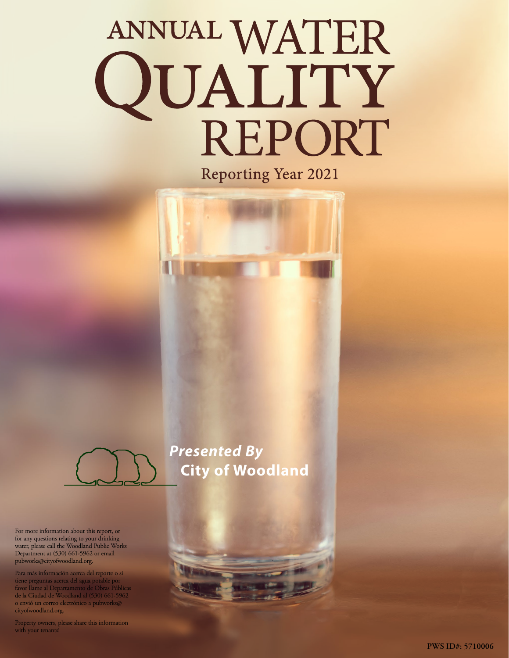# ANNUAL WATER<br>QUALITY REPORT

**Reporting Year 2021** 



For more information about this report, or for any questions relating to your drinking water, please call the Woodland Public Works Department at (530) 661-5962 or email [pubworks@cityofwoodland.org](mailto:pubworks@cityofwoodland.org).

Para más información acerca del reporte o si tiene preguntas acerca del agua potable por favor llame al Departamento de Obras Públicas de la Ciudad de Woodland al (530) 661-5962 o envió un correo electrónico a [pubworks@](mailto:pubworks@cityofwoodland.org) [cityofwoodland.org](mailto:pubworks@cityofwoodland.org).

Property owners, please share this information with your tenants!

*Presented By* **City of Woodland**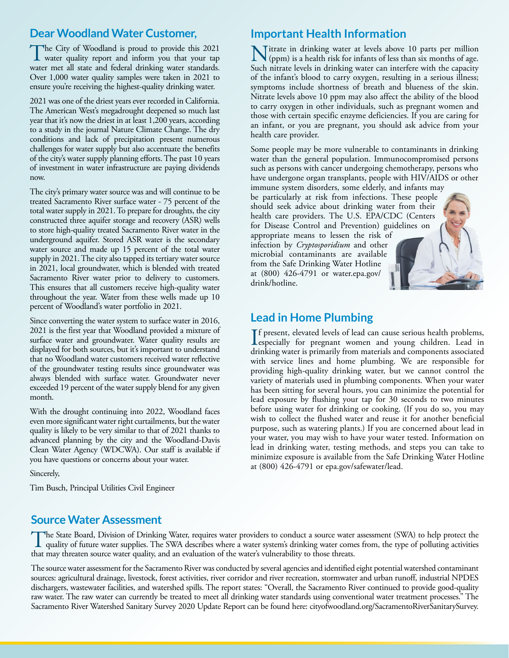# **Dear Woodland Water Customer,**

The City of Woodland is proud to provide this 2021<br>water quality report and inform you that your tap water met all state and federal drinking water standards. Over 1,000 water quality samples were taken in 2021 to ensure you're receiving the highest-quality drinking water.

2021 was one of the driest years ever recorded in California. The American West's megadrought deepened so much last year that it's now the driest in at least 1,200 years, according to a study in the journal Nature Climate Change. The dry conditions and lack of precipitation present numerous challenges for water supply but also accentuate the benefits of the city's water supply planning efforts. The past 10 years of investment in water infrastructure are paying dividends now.

The city's primary water source was and will continue to be treated Sacramento River surface water - 75 percent of the total water supply in 2021. To prepare for droughts, the city constructed three aquifer storage and recovery (ASR) wells to store high-quality treated Sacramento River water in the underground aquifer. Stored ASR water is the secondary water source and made up 15 percent of the total water supply in 2021. The city also tapped its tertiary water source in 2021, local groundwater, which is blended with treated Sacramento River water prior to delivery to customers. This ensures that all customers receive high-quality water throughout the year. Water from these wells made up 10 percent of Woodland's water portfolio in 2021.

Since converting the water system to surface water in 2016, 2021 is the first year that Woodland provided a mixture of surface water and groundwater. Water quality results are displayed for both sources, but it's important to understand that no Woodland water customers received water reflective of the groundwater testing results since groundwater was always blended with surface water. Groundwater never exceeded 19 percent of the water supply blend for any given month.

With the drought continuing into 2022, Woodland faces even more significant water right curtailments, but the water quality is likely to be very similar to that of 2021 thanks to advanced planning by the city and the Woodland-Davis Clean Water Agency (WDCWA). Our staff is available if you have questions or concerns about your water.

Sincerely,

Tim Busch, Principal Utilities Civil Engineer

# **Important Health Information**

Nitrate in drinking water at levels above 10 parts per million (ppm) is a health risk for infants of less than six months of age. Such nitrate levels in drinking water can interfere with the capacity of the infant's blood to carry oxygen, resulting in a serious illness; symptoms include shortness of breath and blueness of the skin. Nitrate levels above 10 ppm may also affect the ability of the blood to carry oxygen in other individuals, such as pregnant women and those with certain specific enzyme deficiencies. If you are caring for an infant, or you are pregnant, you should ask advice from your health care provider.

Some people may be more vulnerable to contaminants in drinking water than the general population. Immunocompromised persons such as persons with cancer undergoing chemotherapy, persons who have undergone organ transplants, people with HIV/AIDS or other immune system disorders, some elderly, and infants may

be particularly at risk from infections. These people should seek advice about drinking water from their health care providers. The U.S. EPA/CDC (Centers for Disease Control and Prevention) guidelines on appropriate means to lessen the risk of infection by *Cryptosporidium* and other microbial contaminants are available from the Safe Drinking Water Hotline at (800) 426-4791 or [water.epa.gov/](http://water.epa.gov/drink/hotline) [drink/hotline.](http://water.epa.gov/drink/hotline)

# **Lead in Home Plumbing**

If present, elevated levels of lead can cause serious health problems,<br>especially for pregnant women and young children. Lead in<br>highline were instituted for magnetic lead proposalized especially for pregnant women and young children. Lead in drinking water is primarily from materials and components associated with service lines and home plumbing. We are responsible for providing high-quality drinking water, but we cannot control the variety of materials used in plumbing components. When your water has been sitting for several hours, you can minimize the potential for lead exposure by flushing your tap for 30 seconds to two minutes before using water for drinking or cooking. (If you do so, you may wish to collect the flushed water and reuse it for another beneficial purpose, such as watering plants.) If you are concerned about lead in your water, you may wish to have your water tested. Information on lead in drinking water, testing methods, and steps you can take to minimize exposure is available from the Safe Drinking Water Hotline at (800) 426-4791 or [epa.gov/safewater/lead](http://epa.gov/safewater/lead).

# **Source Water Assessment**

The State Board, Division of Drinking Water, requires water providers to conduct a source water assessment (SWA) to help protect the quality of future water supplies. The SWA describes where a water system's drinking water that may threaten source water quality, and an evaluation of the water's vulnerability to those threats.

The source water assessment for the Sacramento River was conducted by several agencies and identified eight potential watershed contaminant sources: agricultural drainage, livestock, forest activities, river corridor and river recreation, stormwater and urban runoff, industrial NPDES dischargers, wastewater facilities, and watershed spills. The report states: "Overall, the Sacramento River continued to provide good-quality raw water. The raw water can currently be treated to meet all drinking water standards using conventional water treatment processes." The Sacramento River Watershed Sanitary Survey 2020 Update Report can be found here: [cityofwoodland.org/SacramentoRiverSanitarySurvey](http://cityofwoodland.org/SacramentoRiverSanitarySurvey).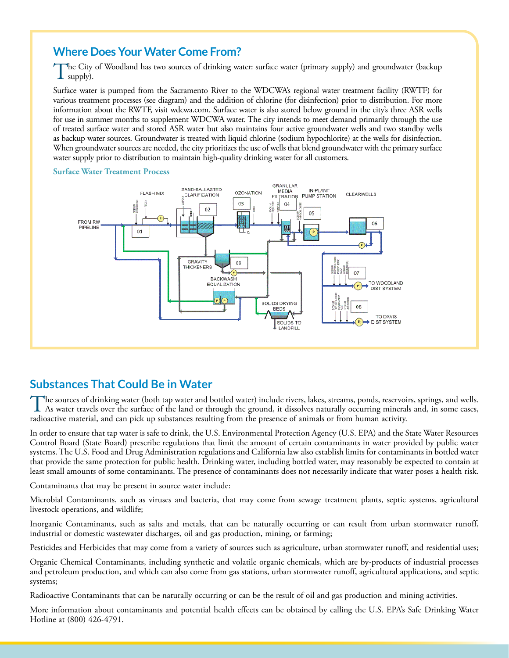# **Where Does Your Water Come From?**

The City of Woodland has two sources of drinking water: surface water (primary supply) and groundwater (backup supply).

Surface water is pumped from the Sacramento River to the WDCWA's regional water treatment facility (RWTF) for various treatment processes (see diagram) and the addition of chlorine (for disinfection) prior to distribution. For more information about the RWTF, visit [wdcwa.com.](http://wdcwa.com) Surface water is also stored below ground in the city's three ASR wells for use in summer months to supplement WDCWA water. The city intends to meet demand primarily through the use of treated surface water and stored ASR water but also maintains four active groundwater wells and two standby wells as backup water sources. Groundwater is treated with liquid chlorine (sodium hypochlorite) at the wells for disinfection. When groundwater sources are needed, the city prioritizes the use of wells that blend groundwater with the primary surface water supply prior to distribution to maintain high-quality drinking water for all customers.



### **Surface Water Treatment Process**

# **Substances That Could Be in Water**

The sources of drinking water (both tap water and bottled water) include rivers, lakes, streams, ponds, reservoirs, springs, and wells. As water travels over the surface of the land or through the ground, it dissolves naturally occurring minerals and, in some cases, radioactive material, and can pick up substances resulting from the presence of animals or from human activity.

In order to ensure that tap water is safe to drink, the U.S. Environmental Protection Agency (U.S. EPA) and the State Water Resources Control Board (State Board) prescribe regulations that limit the amount of certain contaminants in water provided by public water systems. The U.S. Food and Drug Administration regulations and California law also establish limits for contaminants in bottled water that provide the same protection for public health. Drinking water, including bottled water, may reasonably be expected to contain at least small amounts of some contaminants. The presence of contaminants does not necessarily indicate that water poses a health risk.

Contaminants that may be present in source water include:

Microbial Contaminants, such as viruses and bacteria, that may come from sewage treatment plants, septic systems, agricultural livestock operations, and wildlife;

Inorganic Contaminants, such as salts and metals, that can be naturally occurring or can result from urban stormwater runoff, industrial or domestic wastewater discharges, oil and gas production, mining, or farming;

Pesticides and Herbicides that may come from a variety of sources such as agriculture, urban stormwater runoff, and residential uses;

Organic Chemical Contaminants, including synthetic and volatile organic chemicals, which are by-products of industrial processes and petroleum production, and which can also come from gas stations, urban stormwater runoff, agricultural applications, and septic systems;

Radioactive Contaminants that can be naturally occurring or can be the result of oil and gas production and mining activities.

More information about contaminants and potential health effects can be obtained by calling the U.S. EPA's Safe Drinking Water Hotline at (800) 426-4791.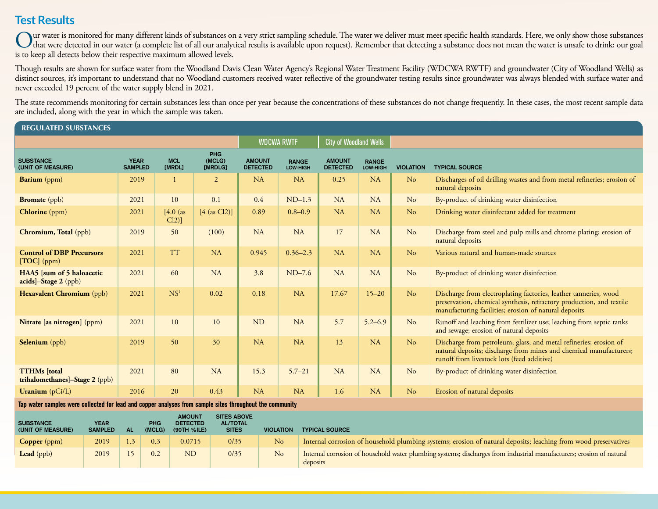# **Test Results**

Our water is monitored for many different kinds of substances on a very strict sampling schedule. The water we deliver must meet specific health standards. Here, we only show those substances<br>that were detected in our wate is to keep all detects below their respective maximum allowed levels.

Though results are shown for surface water from the Woodland Davis Clean Water Agency's Regional Water Treatment Facility (WDCWA RWTF) and groundwater (City of Woodland Wells) as distinct sources, it's important to understand that no Woodland customers received water reflective of the groundwater testing results since groundwater was always blended with surface water and never exceeded 19 percent of the water supply blend in 2021.

The state recommends monitoring for certain substances less than once per year because the concentrations of these substances do not change frequently. In these cases, the most recent sample data are included, along with the year in which the sample was taken.

## **REGULATED SUBSTANCES**

|                                                       |                               |                       |                          | <b>City of Woodland Wells</b><br><b>WDCWA RWTF</b> |                          |                                  |                          |                  |                                                                                                                                                                                                   |  |
|-------------------------------------------------------|-------------------------------|-----------------------|--------------------------|----------------------------------------------------|--------------------------|----------------------------------|--------------------------|------------------|---------------------------------------------------------------------------------------------------------------------------------------------------------------------------------------------------|--|
| <b>SUBSTANCE</b><br>(UNIT OF MEASURE)                 | <b>YEAR</b><br><b>SAMPLED</b> | <b>MCL</b><br>[MRDL]  | PHG<br>(MCLG)<br>[MRDLG] | <b>AMOUNT</b><br><b>DETECTED</b>                   | <b>RANGE</b><br>LOW-HIGH | <b>AMOUNT</b><br><b>DETECTED</b> | <b>RANGE</b><br>LOW-HIGH | <b>VIOLATION</b> | <b>TYPICAL SOURCE</b>                                                                                                                                                                             |  |
| <b>Barium</b> (ppm)                                   | 2019                          |                       | 2                        | <b>NA</b>                                          | <b>NA</b>                | 0.25                             | <b>NA</b>                | N <sub>o</sub>   | Discharges of oil drilling wastes and from metal refineries; erosion of<br>natural deposits                                                                                                       |  |
| <b>Bromate</b> (ppb)                                  | 2021                          | 10                    | 0.1                      | 0.4                                                | $ND-1.3$                 | NA                               | <b>NA</b>                | No               | By-product of drinking water disinfection                                                                                                                                                         |  |
| Chlorine (ppm)                                        | 2021                          | $[4.0$ (as<br>$Cl2$ ] | $[4$ (as Cl2)]           | 0.89                                               | $0.8 - 0.9$              | <b>NA</b>                        | <b>NA</b>                | N <sub>o</sub>   | Drinking water disinfectant added for treatment                                                                                                                                                   |  |
| Chromium, Total (ppb)                                 | 2019                          | 50                    | (100)                    | NA                                                 | <b>NA</b>                | 17                               | <b>NA</b>                | No               | Discharge from steel and pulp mills and chrome plating; erosion of<br>natural deposits                                                                                                            |  |
| <b>Control of DBP Precursors</b><br>$[TOC]$ (ppm)     | 2021                          | <b>TT</b>             | <b>NA</b>                | 0.945                                              | $0.36 - 2.3$             | <b>NA</b>                        | <b>NA</b>                | No               | Various natural and human-made sources                                                                                                                                                            |  |
| HAA5 [sum of 5 haloacetic<br>acids]-Stage 2 (ppb)     | 2021                          | 60                    | <b>NA</b>                | 3.8                                                | $ND-7.6$                 | <b>NA</b>                        | <b>NA</b>                | No               | By-product of drinking water disinfection                                                                                                                                                         |  |
| Hexavalent Chromium (ppb)                             | 2021                          | NS <sup>1</sup>       | 0.02                     | 0.18                                               | <b>NA</b>                | 17.67                            | $15 - 20$                | No               | Discharge from electroplating factories, leather tanneries, wood<br>preservation, chemical synthesis, refractory production, and textile<br>manufacturing facilities; erosion of natural deposits |  |
| Nitrate [as nitrogen] (ppm)                           | 2021                          | 10                    | 10                       | <b>ND</b>                                          | <b>NA</b>                | 5.7                              | $5.2 - 6.9$              | No               | Runoff and leaching from fertilizer use; leaching from septic tanks<br>and sewage; erosion of natural deposits                                                                                    |  |
| <b>Selenium</b> (ppb)                                 | 2019                          | 50                    | 30                       | <b>NA</b>                                          | <b>NA</b>                | 13                               | <b>NA</b>                | No               | Discharge from petroleum, glass, and metal refineries; erosion of<br>natural deposits; discharge from mines and chemical manufacturers;<br>runoff from livestock lots (feed additive)             |  |
| <b>TTHMs</b> [total<br>trihalomethanes]-Stage 2 (ppb) | 2021                          | 80                    | <b>NA</b>                | 15.3                                               | $5.7 - 21$               | <b>NA</b>                        | <b>NA</b>                | No               | By-product of drinking water disinfection                                                                                                                                                         |  |
| Uranium $(pCi/L)$                                     | 2016                          | 20                    | 0.43                     | <b>NA</b>                                          | <b>NA</b>                | 1.6                              | <b>NA</b>                | No               | Erosion of natural deposits                                                                                                                                                                       |  |

**Tap water samples were collected for lead and copper analyses from sample sites throughout the community**

| <b>SUBSTANCE</b><br>(UNIT OF MEASURE) | <b>YEAR</b><br><b>SAMPLED</b> | Αl | <b>PHG</b><br>(MCLG) | <b>AMOUNT</b><br><b>DETECTED</b><br>(90TH %ILE) | <b>SITES ABOVE</b><br><b>AL/TOTAL</b><br><b>SITES</b> | <b>VIOLATION</b> | <b>TYPICAL SOURCE</b>                                                                                                            |
|---------------------------------------|-------------------------------|----|----------------------|-------------------------------------------------|-------------------------------------------------------|------------------|----------------------------------------------------------------------------------------------------------------------------------|
| Copper (ppm)                          | 2019                          |    | 0.3                  | 0.0715                                          | 0/35                                                  | N <sub>o</sub>   | Internal corrosion of household plumbing systems; erosion of natural deposits; leaching from wood preservatives                  |
| Lead (ppb)                            | 2019                          |    | 0.2                  | <b>ND</b>                                       | 0/35                                                  | No               | Internal corrosion of household water plumbing systems; discharges from industrial manufacturers; erosion of natural<br>deposits |